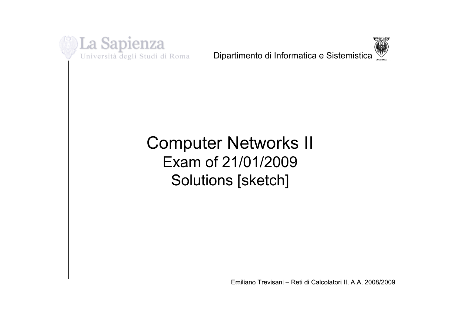

Università degli Studi di Roma

Dipartimento di Informatica e Sistemistica



# Computer Networks II Exam of 21/01/2009 Solutions [sketch]

Emiliano Trevisani - Reti di Calcolatori II, A.A. 2008/2009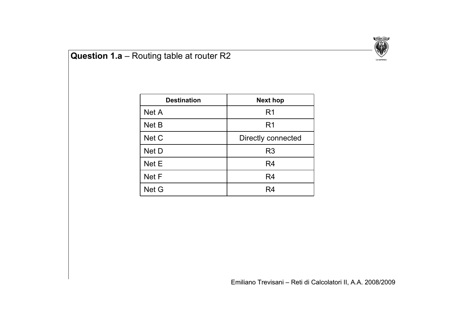

## **Question 1.a** – Routing table at router R2

| <b>Destination</b> | <b>Next hop</b>    |  |  |
|--------------------|--------------------|--|--|
| Net A              | R <sub>1</sub>     |  |  |
| Net B              | R <sub>1</sub>     |  |  |
| Net C              | Directly connected |  |  |
| Net D              | R <sub>3</sub>     |  |  |
| Net E              | R4                 |  |  |
| Net F              | R <sub>4</sub>     |  |  |
| Net G              | R4                 |  |  |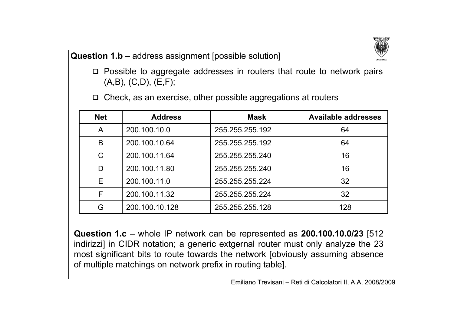#### **Question 1.b** – address assignment [possible solution]

 $\Box$  Possible to aggregate addresses in routers that route to network pairs (A,B), (C,D), (E,F);

| <b>Net</b> | <b>Address</b> | <b>Mask</b>     | <b>Available addresses</b> |  |
|------------|----------------|-----------------|----------------------------|--|
| A          | 200.100.10.0   | 255.255.255.192 | 64                         |  |
| B          | 200.100.10.64  | 255.255.255.192 | 64                         |  |
| C          | 200.100.11.64  | 255.255.255.240 | 16                         |  |
| D          | 200.100.11.80  | 255.255.255.240 | 16                         |  |
| E          | 200.100.11.0   | 255.255.255.224 | 32                         |  |
| F          | 200.100.11.32  | 255.255.255.224 | 32                         |  |
| G          | 200.100.10.128 | 255.255.255.128 | 128                        |  |

 $\Box$  Check, as an exercise, other possible aggregations at routers

**Question 1.c** – whole IP network can be represented as **200.100.10.0/23** [512 indirizzi] in CIDR notation; a generic extgernal router must only analyze the 23 most significant bits to route towards the network [obviously assuming absence of multiple matchings on network prefix in routing table].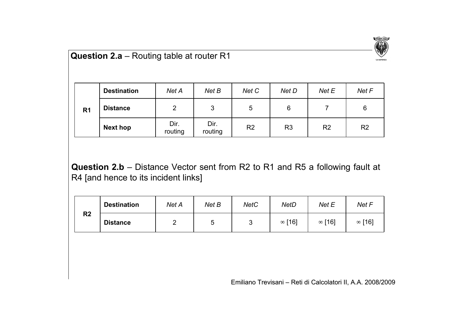

### **Question 2.a** – Routing table at router R1

|                | <b>Destination</b> | Net A           | Net B           | Net C          | Net D          | Net E          | Net F          |
|----------------|--------------------|-----------------|-----------------|----------------|----------------|----------------|----------------|
| R <sub>1</sub> | <b>Distance</b>    | 2               | 3               | 5              | 6              |                | 6              |
|                | Next hop           | Dir.<br>routing | Dir.<br>routing | R <sub>2</sub> | R <sub>3</sub> | R <sub>2</sub> | R <sub>2</sub> |

**Question 2.b** – Distance Vector sent from R2 to R1 and R5 a following fault at R4 [and hence to its incident links]

| R <sub>2</sub> | <b>Destination</b> | Net A | Net B | <b>NetC</b> | NetD   | Net E  | Net F         |
|----------------|--------------------|-------|-------|-------------|--------|--------|---------------|
|                | <b>Distance</b>    |       |       | u           | ∞ [16] | ∞ [16] | $\infty$ [16] |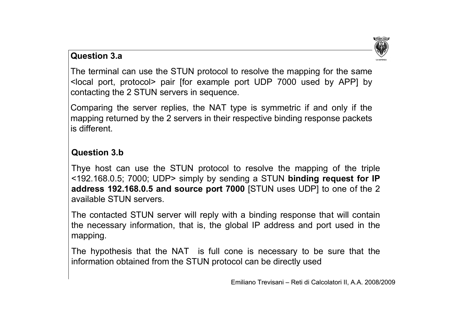

#### **Question 3.a**

The terminal can use the STUN protocol to resolve the mapping for the same <local port, protocol> pair [for example port UDP 7000 used by APP] by contacting the 2 STUN servers in sequence.

Comparing the server replies, the NAT type is symmetric if and only if the mapping returned by the 2 servers in their respective binding response packets is different.

#### **Question 3.b**

Thye host can use the STUN protocol to resolve the mapping of the triple <192.168.0.5; 7000; UDP> simply by sending a STUN **binding request for IP address 192.168.0.5 and source port 7000** [STUN uses UDP] to one of the 2 available STUN servers.

The contacted STUN server will reply with a binding response that will contain the necessary information, that is, the global IP address and port used in the mapping.

The hypothesis that the NAT is full cone is necessary to be sure that the information obtained from the STUN protocol can be directly used